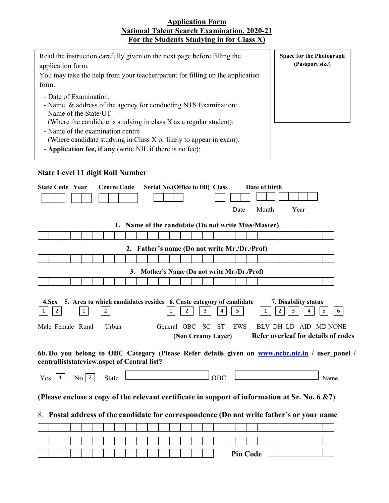## Application Form National Talent Search Examination, 2020-21 For the Students Studying in for Class X)

| Read the instruction carefully given on the next page before filling the<br>application form.      | Space for the Photograph<br>(Passport size) |
|----------------------------------------------------------------------------------------------------|---------------------------------------------|
| You may take the help from your teacher/parent for filling up the application                      |                                             |
| form.                                                                                              |                                             |
| - Date of Examination:                                                                             |                                             |
|                                                                                                    |                                             |
| - Name & address of the agency for conducting NTS Examination:<br>- Name of the State/UT           |                                             |
| (Where the candidate is studying in class X as a regular student):                                 |                                             |
| - Name of the examination centre                                                                   |                                             |
| (Where candidate studying in Class X or likely to appear in exam):                                 |                                             |
| - Application fee, if any (write NIL if there is no fee):                                          |                                             |
|                                                                                                    |                                             |
|                                                                                                    |                                             |
| <b>State Level 11 digit Roll Number</b>                                                            |                                             |
| <b>State Code Year</b><br><b>Centre Code</b><br>Date of birth<br>Serial No. (Office to fill) Class |                                             |
|                                                                                                    |                                             |
|                                                                                                    |                                             |
| Month<br>Date                                                                                      | Year                                        |
| Name of the candidate (Do not write Miss/Master)<br>1.                                             |                                             |
|                                                                                                    |                                             |
|                                                                                                    |                                             |
| 2. Father's name (Do not write Mr./Dr./Prof)                                                       |                                             |
|                                                                                                    |                                             |
| Mother's Name (Do not write Mr./Dr./Prof)<br>3.                                                    |                                             |
|                                                                                                    |                                             |
|                                                                                                    |                                             |
| 5. Area to which candidates resides 6. Caste category of candidate<br>$4.$ <b>Sex</b>              | 7. Disability status                        |
| $\overline{2}$<br>$\overline{2}$<br>2<br>5<br>3<br>1<br>$\mathbf{1}$<br>1<br>4                     | 2<br>5<br>3<br>6<br>4                       |
| Male Female Rural<br>Urban<br>General OBC<br><b>SC</b><br><b>ST</b><br>EWS                         | BLV DH LD AID MD NONE                       |
|                                                                                                    |                                             |
| (Non Creamy Layer)                                                                                 | Refer overleaf for details of codes         |
| 6b. Do you belong to OBC Category (Please Refer details given on www.ncbc.nic.in / user_panel /    |                                             |
| centralliststateview.aspc) of Central list?                                                        |                                             |
|                                                                                                    |                                             |
| $\mathrm{No}$   2  <br>$Yes \mid 1 \mid$<br>State                                                  | Name                                        |
|                                                                                                    |                                             |
| (Please enclose a copy of the relevant certificate in support of information at Sr. No. 6 $\&7$ )  |                                             |
|                                                                                                    |                                             |
| 8. Postal address of the candidate for correspondence (Do not write father's or your name          |                                             |
|                                                                                                    |                                             |
|                                                                                                    |                                             |
| <b>Pin Code</b>                                                                                    |                                             |
|                                                                                                    |                                             |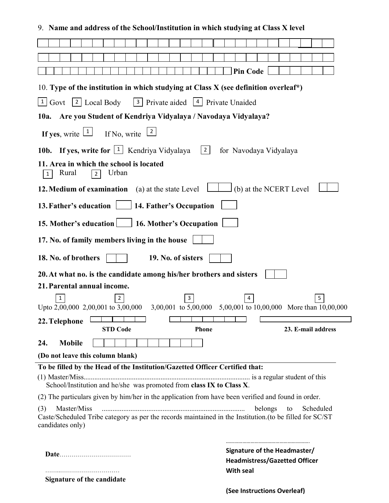## 9. Name and address of the School/Institution in which studying at Class X level

|                                                                                                                                                      | <b>Pin Code</b>                                                      |
|------------------------------------------------------------------------------------------------------------------------------------------------------|----------------------------------------------------------------------|
| 10. Type of the institution in which studying at Class X (see definition overleaf*)                                                                  |                                                                      |
| $ 3 $ Private aided $ 4 $ Private Unaided<br>$1  $ Govt $ 2 $ Local Body                                                                             |                                                                      |
| 10a. Are you Student of Kendriya Vidyalaya / Navodaya Vidyalaya?                                                                                     |                                                                      |
|                                                                                                                                                      |                                                                      |
| If yes, write $\boxed{1}$<br>If No, write $\lfloor 2 \rfloor$                                                                                        |                                                                      |
| 10b. If yes, write for $\boxed{1}$ Kendriya Vidyalaya<br>$\vert 2 \vert$                                                                             | for Navodaya Vidyalaya                                               |
| 11. Area in which the school is located<br>Urban<br>Rural<br>2<br>1                                                                                  |                                                                      |
| 12. Medium of examination (a) at the state Level                                                                                                     | $\vert$ (b) at the NCERT Level                                       |
| 13. Father's education   14. Father's Occupation                                                                                                     |                                                                      |
| 15. Mother's education 16. Mother's Occupation                                                                                                       |                                                                      |
| 17. No. of family members living in the house                                                                                                        |                                                                      |
| 18. No. of brothers<br>19. No. of sisters                                                                                                            |                                                                      |
| 20. At what no. is the candidate among his/her brothers and sisters                                                                                  |                                                                      |
| 21. Parental annual income.                                                                                                                          |                                                                      |
| $\mathbf{3}$<br>2<br>Upto 2,00,000 2,00,001 to 3,00,000 3,00,001 to 5,00,000 5,00,001 to 10,00,000 More than 10,00,000                               | 5<br>4                                                               |
| <u>rando de la contrada de la contrada de la contrada de la contrada de la contrada de la contrada de la contrada</u><br>22. Telephone               |                                                                      |
| <b>STD Code</b><br>Phone                                                                                                                             | 23. E-mail address                                                   |
| <b>Mobile</b><br>24.                                                                                                                                 |                                                                      |
| (Do not leave this column blank)                                                                                                                     |                                                                      |
| To be filled by the Head of the Institution/Gazetted Officer Certified that:<br>School/Institution and he/she was promoted from class IX to Class X. |                                                                      |
| (2) The particulars given by him/her in the application from have been verified and found in order.                                                  |                                                                      |
| Master/Miss<br>(3)<br>Caste/Scheduled Tribe category as per the records maintained in the Institution. (to be filled for SC/ST<br>candidates only)   | belongs<br>Scheduled<br>to                                           |
|                                                                                                                                                      |                                                                      |
|                                                                                                                                                      | Signature of the Headmaster/<br><b>Headmistress/Gazetted Officer</b> |
| <b>Signature of the candidate</b>                                                                                                                    | <b>With seal</b>                                                     |

(See Instructions Overleaf)